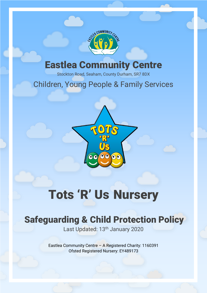

## Eastlea Community Centre

Stockton Road, Seaham, County Durham, SR7 8DX

### Children, Young People & Family Services



# Tots 'R' Us Nursery

## Safeguarding & Child Protection Policy

Last Updated: 13<sup>th</sup> January 2020

Eastlea Community Centre – A Registered Charity: 1160391 Ofsted Registered Nursery: EY489173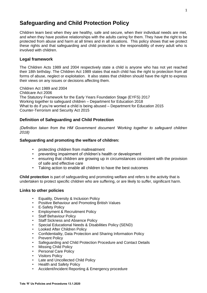#### **Safeguarding and Child Protection Policy**

Children learn best when they are healthy, safe and secure, when their individual needs are met, and when they have positive relationships with the adults caring for them. They have the right to be protected from abuse and harm at all times and in all situations. This policy shows that we protect these rights and that safeguarding and child protection is the responsibility of every adult who is involved with children.

#### **Legal framework**

The Children Acts 1989 and 2004 respectively state a child is anyone who has not yet reached their 18th birthday. The Children Act 1989 states that each child has the right to protection from all forms of abuse, neglect or exploitation. It also states that children should have the right to express their views on any issues or decisions affecting them.

Children Act 1989 and 2004 Childcare Act 2006 The Statutory Framework for the Early Years Foundation Stage (EYFS) 2017 Working together to safeguard children – Department for Education 2018 What to do if you're worried a child is being abused – Department for Education 2015 Counter-Terrorism and Security Act 2015

#### **Definition of Safeguarding and Child Protection**

*(Definition taken from the HM Government document 'Working together to safeguard children 2018)*

#### **Safeguarding and promoting the welfare of children:**

- protecting children from maltreatment
- preventing impairment of children's health or development
- ensuring that children are growing up in circumstances consistent with the provision of safe and effective care
- Taking action to enable all children to have the best outcomes

**Child protection** is part of safeguarding and promoting welfare and refers to the activity that is undertaken to protect specific children who are suffering, or are likely to suffer, significant harm.

#### **Links to other policies**

- Equality, Diversity & Inclusion Policy
- Positive Behaviour and Promoting British Values
- **E-Safety Policy**
- Employment & Recruitment Policy
- **Staff Behaviour Policy**
- Staff Sickness and Absence Policy
- Special Educational Needs & Disabilities Policy (SEND)
- Looked After Children Policy
- Confidentiality, Data Protection and Sharing Information Policy
- **Prevent Policy**
- Safeguarding and Child Protection Procedure and Contact Details
- Missing Child Policy
- Personal Care Policy
- **Visitors Policv**
- Late and Uncollected Child Policy
- Health and Safety Policy
- Accident/Incident Reporting & Emergency procedure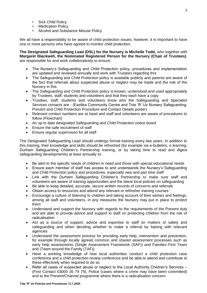- Sick Child Policy
- **Medication Policy**
- Alcohol and Substance Misuse Policy

We all have a responsibility to be aware of child protection issues; however, it is important to have one or more persons who have agreed to monitor child protection.

**The Designated Safeguarding Lead (DSL) for the Nursery is Michelle Todd,** who together with **Margaret Blackwell, the Nominated Registered Person for the Nursery (Chair of Trustees)**, are responsible for and work collaboratively to ensure:

- The Nursery's Safeguarding and Child Protection policy, procedures and implementation are updated and reviewed annually and work with Trustees regarding this
- The Safeguarding and Child Protection policy is available publicly and parents are aware of the fact that referrals about suspected abuse or neglect may be made and the role of the Nursery in this
- The Safeguarding and Child Protection policy is known, understood and used appropriately by Trustees, staff, students and volunteers and that they each have a copy
- Trustees, staff, students and volunteers know who the Safeguarding and Specialist Services contacts are - (Eastlea Community Centre and Tots 'R' Us Nursery Safeguarding, Prevent and Child Protection Procedure and Contact Details poster)
- Relevant contact numbers are at hand and staff and volunteers are aware of procedures to follow (Flowchart)
- An up to date designated Safeguarding and Child Protection notice board
- Ensure the safe recruitment of staff
- Ensure regular supervision for all staff

The Designated Safeguarding Lead should undergo formal training every two years. In addition to this training, their knowledge and skills should be refreshed (for example via e-bulletins, e learning, Durham Safeguarding Children's Partnership training, or by taking time to read and digest safeguarding developments) at least annually to:

- Be alert to the specific needs of children in need and those with special educational needs
- Ensure each member of staff has access to and understands the Nursery's Safeguarding and Child Protection policy and procedures, especially new and part time staff
- Link with the Durham Safeguarding Children's Partnership to make sure staff and volunteers are aware of training opportunities and the latest local policies on safeguarding
- Be able to keep detailed, accurate, secure written records of concerns and referrals
- Obtain access to resources and attend any relevant or refresher training courses
- Encourage a culture of listening to children and taking account of their wishes and feelings, among all staff and volunteers, in any measures the Nursery may put in place to protect them
- Understand and support the Nursery with regards to the requirements of the Prevent duty and are able to provide advice and support to staff on protecting children from the risk of radicalisation
- Act as a source of support, advice and expertise to staff on matters of safety and safeguarding and when deciding whether to make a referral by liaising with relevant agencies
- Understand the assessment process for providing early help, intervention and prevention, for example through locally agreed common and shared assessment processes such as early help assessments (Single Assessment Framework (SAF)) and Families First Team and (Team around the Family (TAF))
- Have a working knowledge of how local authorities conduct a child protection case conference and a child protection review conference and be able to attend and contribute to these effectively when required to do so
- Refer all cases of suspected abuse or neglect to the Local Authority Children's Services (First Contact 03000 26 79 79), Police (cases where a crime may have been committed) and to the Prevent/Channel programme where there is a radicalisation concern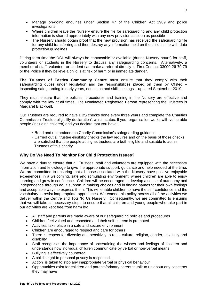- Manage on-going enquiries under Section 47 of the Children Act 1989 and police investigations
- Where children leave the Nursery ensure the file for safeguarding and any child protection information is shared appropriately with any new provision as soon as possible
- The Nursery should obtain proof that the new provision has received the safeguarding file for any child transferring and then destroy any information held on the child in line with data protection guidelines

During term time the DSL will always be contactable or available (during Nursery hours) for staff, volunteers or students in the Nursery to discuss any safeguarding concerns. Alternatively, a member of staff, volunteer or student can make a referral directly to First Contact 03000 26 79 79 or the Police if they believe a child is at risk of harm or in immediate danger.

**The Trustees of Eastlea Community Centre** must ensure that they comply with their safeguarding duties under legislation and the responsibilities placed on them by Ofsted – Inspecting safeguarding in early years, education and skills settings – updated September 2019.

They must ensure that the policies, procedures and training in the Nursery are effective and comply with the law at all times. The Nominated Registered Person representing the Trustees is Margaret Blackwell.

Our Trustees are required to have DBS checks done every three years and complete the Charities Commission 'Trustee eligibility declaration', which states: If your organisation works with vulnerable people (including children) and you declare that you have:

- Read and understood the Charity Commission's safeguarding guidance
- Carried out all trustee eligibility checks the law requires and on the basis of those checks are satisfied that the people acting as trustees are both eligible and suitable to act as Trustees of this charity

#### **Why Do We Need To Monitor For Child Protection Issues?**

We have a duty to ensure that all Trustees, staff and volunteers are equipped with the necessary information and knowledge to give the appropriate support, guidance and help needed at the time. We are committed to ensuring that all those associated with the Nursery have positive enjoyable experiences, in a welcoming, safe and stimulating environment, where children are able to enjoy learning and grow in confidence. Children will be encouraged to develop a sense of autonomy and independence through adult support in making choices and in finding names for their own feelings and acceptable ways to express them. This will enable children to have the self-confidence and the vocabulary to resist inappropriate approaches. We extend this policy across all of the activities we deliver within the Centre and Tots 'R' Us Nursery. Consequently, we are committed to ensuring that we will take all necessary steps to ensure that all children and young people who take part in our activities are kept free from harm by:

- All staff and parents are made aware of our safeguarding policies and procedures
- Children feel valued and respected and their self-esteem is promoted
- Activities take place in a safe and secure environment
- Children are encouraged to respect and care for others
- There is respect for diversity and sensitivity to race, culture, religion, gender, sexuality and disability
- Staff recognises the importance of ascertaining the wishes and feelings of children and understands how individual children communicate by verbal or non-verbal means
- Bullying is effectively countered
- A child's right to personal privacy is respected
- Action is taken to stop any inappropriate verbal or physical behaviour
- Opportunities exist for children and parents/primary carers to talk to us about any concerns they may have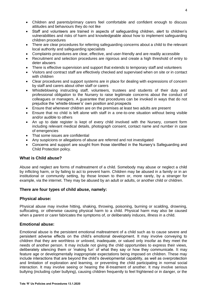- Children and parents/primary carers feel comfortable and confident enough to discuss attitudes and behaviours they do not like
- Staff and volunteers are trained in aspects of safeguarding children, alert to children's vulnerabilities and risks of harm and knowledgeable about how to implement safeguarding children procedures
- There are clear procedures for referring safeguarding concerns about a child to the relevant local authority and safeguarding specialists
- Complaints procedures are clear, effective, and user-friendly and are readily accessible
- Recruitment and selection procedures are rigorous and create a high threshold of entry to deter abusers
- There is effective supervision and support that extends to temporary staff and volunteers
- Visitors and contract staff are effectively checked and supervised when on site or in contact with children
- Clear procedures and support systems are in place for dealing with expressions of concern by staff and carers about other staff or carers
- Whistleblowing instructing staff, volunteers, trustees and students of their duty and professional obligation to the Nursery to raise legitimate concerns about the conduct of colleagues or managers. A guarantee that procedures can be invoked in ways that do not prejudice the 'whistle-blower's' own position and prospects
- Ensure that whenever children are on the premises at least two adults are present
- Ensure that no child is left alone with staff in a one-to-one situation without being visible and/or audible to others
- An up to date register is kept of every child involved with the Nursery, consent form including relevant medical details, photograph consent, contact name and number in case of emergencies
- That some issues are confidential
- Any suspicions or allegations of abuse are referred and not investigated
- Concerns and support are sought from those identified in the Nursery's Safeguarding and Child Protection policy.

#### **What is Child abuse?**

Abuse and neglect are forms of maltreatment of a child. Somebody may abuse or neglect a child by inflicting harm, or by failing to act to prevent harm. Children may be abused in a family or in an institutional or community setting, by those known to them or, more rarely, by a stranger for example, via the internet. They may be abused by an adult or adults, or another child or children.

#### **There are four types of child abuse, namely:**

#### **Physical abuse:**

Physical abuse may involve hitting, shaking, throwing, poisoning, burning or scalding, drowning, suffocating, or otherwise causing physical harm to a child. Physical harm may also be caused when a parent or carer fabricates the symptoms of, or deliberately induces, illness in a child.

#### **Emotional abuse:**

Emotional abuse is the persistent emotional maltreatment of a child such as to cause severe and persistent adverse effects on the child's emotional development. It may involve conveying to children that they are worthless or unloved, inadequate, or valued only insofar as they meet the needs of another person. It may include not giving the child opportunities to express their views, deliberately silencing them or 'making fun' of what they say or how they communicate. It may feature age or developmentally inappropriate expectations being imposed on children. These may include interactions that are beyond the child's developmental capability, as well as overprotection and limitation of exploration and learning, or preventing the child participating in normal social interaction. It may involve seeing or hearing the ill-treatment of another. It may involve serious bullying (including cyber bullying), causing children frequently to feel frightened or in danger, or the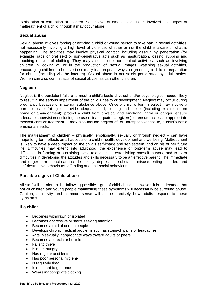#### **Sexual abuse:**

Sexual abuse involves forcing or enticing a child or young person to take part in sexual activities, not necessarily involving a high level of violence, whether or not the child is aware of what is happening. The activities may involve physical contact, including assault by penetration (for example, rape or oral sex) or non-penetrative acts such as masturbation, kissing, rubbing and touching outside of clothing. They may also include non-contact activities, such as involving children in looking at, or in the production of, sexual images, watching sexual activities, encouraging children to behave in sexually inappropriate ways, or grooming a child in preparation for abuse (including via the internet). Sexual abuse is not solely perpetrated by adult males. Women can also commit acts of sexual abuse, as can other children.

#### **Neglect:**

Neglect is the persistent failure to meet a child's basic physical and/or psychological needs, likely to result in the serious impairment of the child's health or development. Neglect may occur during pregnancy because of maternal substance abuse. Once a child is born, neglect may involve a parent or carer failing to: provide adequate food, clothing and shelter (including exclusion from home or abandonment); protect a child from physical and emotional harm or danger; ensure adequate supervision (including the use of inadequate caregivers); or ensure access to appropriate medical care or treatment. It may also include neglect of, or unresponsiveness to, a child's basic emotional needs.

The maltreatment of children – physically, emotionally, sexually or through neglect – can have major long-term effects on all aspects of a child's health, development and wellbeing. Maltreatment is likely to have a deep impact on the child's self-image and self-esteem, and on his or her future life. Difficulties may extend into adulthood: the experience of long-term abuse may lead to difficulties in forming or sustaining close relationships, establishing oneself in work, and to extra difficulties in developing the attitudes and skills necessary to be an effective parent. The immediate and longer-term impact can include anxiety, depression, substance misuse, eating disorders and self-destructive behaviours, offending and anti-social behaviour.

#### **Possible signs of Child abuse**

All staff will be alert to the following possible signs of child abuse. However, it is understood that not all children and young people manifesting these symptoms will necessarily be suffering abuse. Caution, sensitivity and common sense will shape precisely how adults respond to these symptoms.

#### **If a child:**

- Becomes withdrawn or isolated
- Becomes aggressive or starts seeking attention
- Becomes afraid of certain people
- Develops chronic medical problems such as stomach pains or headaches
- Acts in sexually inappropriate ways toward adults or peers
- Becomes anorexic or bulimic
- Fails to thrive
- Is often hungry
- Has regular accidents
- Has poor personal hygiene
- Is regularly tired
- Is reluctant to go home
- Wears inappropriate clothing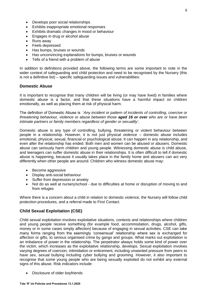- Develops poor social relationships
- Exhibits inappropriate emotional responses
- Exhibits dramatic changes in mood or behaviour
- Engages in drug or alcohol abuse
- Runs away
- Feels depressed
- Has bumps, bruises or wounds
- Has unconvincing explanations for bumps, bruises or wounds
- Tells of a friend with a problem of abuse

In addition to definitions provided above, the following terms are some important to note in the wider context of safeguarding and child protection and need to be recognised by the Nursery (this is not a definitive list) – specific safeguarding issues and vulnerabilities:

#### **Domestic Abuse**

It is important to recognise that many children will be living (or may have lived) in families where domestic abuse is a factor, and that these situations have a harmful impact on children emotionally, as well as placing them at risk of physical harm.

The definition of Domestic Abuse is '*Any incident or pattern of incidents of controlling, coercive or threatening behaviour, violence or abuse between those aged 16 or over who are or have been intimate partners or family members regardless of gender or sexuality'.* 

Domestic abuse is any type of controlling, bullying, threatening or violent behaviour between people in a relationship. However, it is not just physical violence – domestic abuse includes emotional, physical, sexual, financial or psychological abuse. It can happen in any relationship, and even after the relationship has ended. Both men and women can be abused or abusers. Domestic abuse can seriously harm children and young people. Witnessing domestic abuse is child abuse, and teenagers can suffer domestic abuse in their relationships. It is often difficult to tell if domestic abuse is happening, because it usually takes place in the family home and abusers can act very differently when other people are around. Children who witness domestic abuse may:

- Become aggressive
- Display anti-social behaviour
- Suffer from depression or anxiety
- Not do as well at nursery/school due to difficulties at home or disruption of moving to and from refuges

Where there is a concern about a child in relation to domestic violence, the Nursery will follow child protection procedures, and a referral made to First Contact.

#### **Child Sexual Exploitation (CSE)**

Child sexual exploitation involves exploitative situations, contexts and relationships where children and young people receive something (for example food, accommodation, drugs, alcohol, gifts, money or in some cases simply affection) because of engaging in sexual activities. CSE can take many forms ranging from the seemingly 'consensual' relationship where sex is exchanged for affection or gifts, to serious organised crime by gangs and groups. What marks out exploitation is an imbalance of power in the relationship. The perpetrator always holds some kind of power over the victim, which increases as the exploitative relationship, develops. Sexual exploitation involves varying degrees of coercion, intimidation or enticement, including unwanted pressure from peers to have sex, sexual bullying including cyber bullying and grooming. However, it also important to recognise that some young people who are being sexually exploited do not exhibit any external signs of this abuse. Risk indicators include:

Disclosure of older boyfriends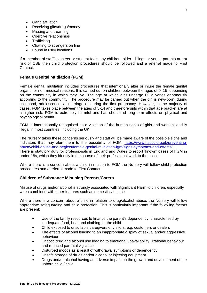- Gang affiliation
- Receiving gifts/drugs/money
- Missing and truanting
- Coercive relationships
- **Trafficking**
- Chatting to strangers on line
- Found in risky locations

If a member of staff/volunteer or student feels any children, older siblings or young parents are at risk of CSE then child protection procedures should be followed and a referral made to First Contact.

#### **Female Genital Mutilation (FGM)**

Female genital mutilation includes procedures that intentionally alter or injure the female genital organs for non-medical reasons. It is carried out on children between the ages of 0–15, depending on the community in which they live. The age at which girls undergo FGM varies enormously according to the community. The procedure may be carried out when the girl is new-born, during childhood, adolescence, at marriage or during the first pregnancy. However, in the majority of cases, FGM takes place between the ages of 5-14 and therefore girls within that age bracket are at a higher risk. FGM is extremely harmful and has short and long-term effects on physical and psychological health.

FGM is internationally recognised as a violation of the human rights of girls and women, and is illegal in most countries, including the UK.

The Nursery takes these concerns seriously and staff will be made aware of the possible signs and indicators that may alert them to the possibility of FGM. [https://www.nspcc.org.uk/preventing](https://www.nspcc.org.uk/preventing-abuse/child-abuse-and-neglect/female-genital-mutilation-fgm/signs-symptoms-and-effects/)[abuse/child-abuse-and-neglect/female-genital-mutilation-fgm/signs-symptoms-and-effects/](https://www.nspcc.org.uk/preventing-abuse/child-abuse-and-neglect/female-genital-mutilation-fgm/signs-symptoms-and-effects/) There is statutory duty for professionals in England and Wales to report 'known' cases of FGM in under-18s, which they identify in the course of their professional work to the police.

Where there is a concern about a child in relation to FGM the Nursery will follow child protection procedures and a referral made to First Contact.

#### **Children of Substance Misusing Parents/Carers**

Misuse of drugs and/or alcohol is strongly associated with Significant Harm to children, especially when combined with other features such as domestic violence.

Where there is a concern about a child in relation to drug/alcohol abuse, the Nursery will follow appropriate safeguarding and child protection. This is particularly important if the following factors are present:

- Use of the family resources to finance the parent's dependency, characterised by inadequate food, heat and clothing for the child
- Child exposed to unsuitable caregivers or visitors, e.g. customers or dealers
- The effects of alcohol leading to an inappropriate display of sexual and/or aggressive behaviour
- Chaotic drug and alcohol use leading to emotional unavailability, irrational behaviour and reduced parental vigilance
- Disturbed moods as a result of withdrawal symptoms or dependency
- Unsafe storage of drugs and/or alcohol or injecting equipment
- Drugs and/or alcohol having an adverse impact on the growth and development of the unborn child / child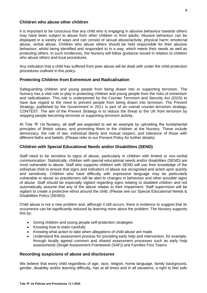#### **Children who abuse other children**

It is important to be conscious that any child who is engaging in abusive behaviour towards others may have been subject to abuse from other children or from adults. Abusive behaviour can be displayed in a variety of ways and can consist of sexual abuse/activity; physical harm; emotional abuse, verbal abuse. Children who abuse others should be held responsible for their abusive behaviour, whilst being identified and responded to in a way, which meets their needs as well as protecting others. In such incidences, the Nursery will follow guidance issued in relation to children who abuse others and local procedures.

Any indication that a child has suffered from peer abuse will be dealt with under the child protection procedures outlined in this policy.

#### **Protecting Children from Extremism and Radicalisation**

Safeguarding children and young people from being drawn into or supporting terrorism. The Nursery has a vital role to play in protecting children and young people from the risks of extremism and radicalisation. This role is underpinned by the Counter Terrorism and Security Act (2015) to have due regard to the need to prevent people from being drawn into terrorism. The Prevent Strategy, published by the Government in 2011 is part of an overall counter-terrorism strategy, CONTEST. The aim of the Prevent Strategy is to reduce the threat to the UK from terrorism by stopping people becoming terrorists or supporting terrorism activity.

At Tots 'R' Us Nursery, all staff are expected to set an example by upholding the fundamental principles of British values, and promoting them to the children at the Nursery. These include democracy, the rule of law, individual liberty and mutual respect, and tolerance of those with different faiths and beliefs. (Please refer to our Prevent Policy for further details)

#### **Children with Special Educational Needs and/or Disabilities (SEND)**

Staff need to be sensitive to signs of abuse, particularly in children with limited or non-verbal communication. Statistically, children with special educational needs and/or disabilities (SEND) are most vulnerable to abuse. Staff who supports children with SEND will use their knowledge of the individual child to ensure that signs and indicators of abuse are recognised and acted upon quickly and sensitively. Children who have difficulty with expressive language may be particularly vulnerable to abuse so practitioners will be alert to changes in behaviour and other possible signs of abuse. Staff should be especially vigilant regarding signs relating to disabled children and not automatically assume that any of the above relates to their impairment. Staff supervision will be vigilant to create a protective ethos around the child. (Please see our Special Educational Needs & Disabilities Policy (SEND)).

Child abuse is not a new problem and, although it still occurs, there is evidence to suggest that its occurrence can be significantly reduced by learning more about the problem. The Nursery supports this by:

- Giving children and young people self-protection strategies
- Knowing how to listen carefully
- Knowing what action to take when allegations of child abuse are made
- Understand the assessment process for providing early help and intervention, for example, through locally agreed common and shared assessment processes such as early help assessments (Single Assessment Framework (SAF)) and Families First Teams

#### **Recording suspicions of abuse and disclosures**

We believe that every child regardless of age, race, religion, home language, family background, gender, disability and/or learning difficulty, has at all times and in all situations, a right to feel safe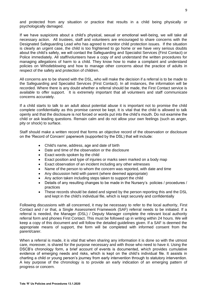and protected from any situation or practice that results in a child being physically or psychologically damaged.

If we have suspicions about a child's physical, sexual or emotional well-being, we will take all necessary action. All trustees, staff and volunteers are encouraged to share concerns with the Designated Safeguarding Lead who has agreed to monitor child protection issues. If the situation is clearly an urgent case, the child is too frightened to go home or we have very serious doubts about the child's safety, we will contact the Safeguarding and Specialist Services (First Contact) or Police immediately. All staff/volunteers have a copy of and understand the written procedures for managing allegations of harm to a child. They know how to make a complaint and understand policies on Whistleblowing and how to manage other concerns about the practice of adults in respect of the safety and protection of children.

All concerns are to be shared with the DSL, who will make the decision if a referral is to be made to the Safeguarding and Specialist Services (First Contact). In all instances, the information will be recorded. Where there is any doubt whether a referral should be made, the First Contact service is available to offer support. It is extremely important that all volunteers and staff communicate concerns accurately.

If a child starts to talk to an adult about potential abuse it is important not to promise the child complete confidentiality as this promise cannot be kept. It is vital that the child is allowed to talk openly and that the disclosure is not forced or words put into the child's mouth. Do not examine the child or ask leading questions. Remain calm and do not allow your own feelings (such as anger, pity or shock) to surface.

Staff should make a written record that forms an objective record of the observation or disclosure on the 'Record of Concern' paperwork (supported by the DSL) that will include:

- Child's name, address, age and date of birth
- Date and time of the observation or the disclosure
- Exact words spoken by the child
- Exact position and type of injuries or marks seen marked on a body map
- Exact observation of an incident including any other witnesses
- Name of the person to whom the concern was reported, with date and time
- Any discussion held with parent (where deemed appropriate)
- Any action taken including steps taken to support the child
- Details of any resulting changes to be made in the Nursery's policies / procedures / practices
- These records should be dated and signed by the person reporting this and the DSL and kept in the child's individual file, which is kept securely and confidentially

Following discussions with all concerned, it may be necessary to refer to the local authority, First Contact and / or that, a Single Assessment Framework (SAF) referral needs to be initiated. If a referral is needed, the Manager (DSL) / Deputy Manager complete the relevant local authority referral form and phones First Contact. This must be followed up in writing within 24 hours. We will keep a copy of this document and will follow the detailed guidelines given. If a SAF is deemed the appropriate means of support, the form will be completed with informed consent from the parent/carer.

When a referral is made, it is vital that when sharing any information it is done so with the utmost care, moreover, is shared for the purpose necessary and with those who need to have it. Using the DSCB's chronology form, a brief account of events is documented, which provides cumulative evidence of emerging needs and risks, which is kept on the child's individual file. It assists in charting a child or young person's journey from early intervention through to statutory intervention. A key purpose of the chronology is to provide an early indication of an emerging pattern of progress or concern.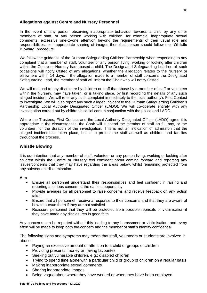#### **Allegations against Centre and Nursery Personnel**

In the event of any person observing inappropriate behaviour towards a child by any other members of staff, or any person working with children, for example, inappropriate sexual comments; excessive one-to-one attention beyond the requirements of their usual role and responsibilities; or inappropriate sharing of images then that person should follow the **'Whistle Blowing'** procedure.

We follow the guidance of the Durham Safeguarding Children Partnership when responding to any complaint that a member of staff, volunteer or any person living, working or looking after children within the Centre or Nursery has abused a child. The Designated Safeguarding Lead on all such occasions will notify Ofsted of any allegations, whether the allegation relates to the Nursery or elsewhere within 14 days. If the allegation made to a member of staff concerns the Designated Safeguarding Lead, the member of staff will inform the Chair who will notify Ofsted.

We will respond to any disclosure by children or staff that abuse by a member of staff or volunteer within the Nursery, may have taken, or is taking place, by first recording the details of any such alleged incident. We will refer any such complaint immediately to the local authority's First Contact to investigate. We will also report any such alleged incident to the Durham Safeguarding Children's Partnership Local Authority Designated Officer (LADO). We will co-operate entirely with any investigation carried out by children's social care in conjunction with the police and LADO.

Where the Trustees, First Contact and the Local Authority Designated Officer (LADO) agree it is appropriate in the circumstances, the Chair will suspend the member of staff on full pay, or the volunteer, for the duration of the investigation. This is not an indication of admission that the alleged incident has taken place, but is to protect the staff as well as children and families throughout the process.

#### **Whistle Blowing**

It is our intention that any member of staff, volunteer or any person living, working or looking after children within the Centre or Nursery feel confident about coming forward and reporting any issues/concerns that they may have regarding the areas below, whilst remaining protected from any subsequent discrimination.

#### **Aim**

- Ensure all personnel understand their responsibilities and feel confident in raising and reporting a serious concern at the earliest opportunity
- Provide avenues for all personnel to raise concerns and receive feedback on any action taken
- Ensure that all personnel receive a response to their concerns and that they are aware of how to pursue them if they are not satisfied
- Reassure personnel that they will be protected from possible reprisals or victimisation if they have made any disclosures in good faith

Any concerns can be reported without this leading to any harassment or victimisation, and every effort will be made to keep both the concern and the member of staff's identity confidential

The following signs and symptoms may mean that staff, volunteers or students are involved in abuse:

- Paying an excessive amount of attention to a child or groups of children
- Providing presents, money or having favourites
- Seeking out vulnerable children, e.g.: disabled children
- Trying to spend time alone with a particular child or group of children on a regular basis
- Making inappropriate sexual comments
- Sharing inappropriate images
- Being vague about where they have worked or when they have been employed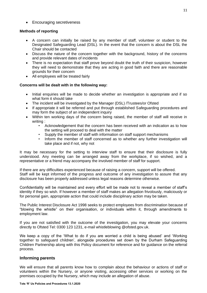• Encouraging secretiveness

#### **Methods of reporting**

- A concern can initially be raised by any member of staff, volunteer or student to the Designated Safeguarding Lead (DSL). In the event that the concern is about the DSL the Chair should be contacted
- Discuss the nature of the concern together with the background, history of the concerns and provide relevant dates of incidents
- There is no expectation that staff prove beyond doubt the truth of their suspicion, however they will need to demonstrate that they are acting in good faith and there are reasonable grounds for their concern
- All employees will be treated fairly

#### **Concerns will be dealt with in the following way:**

- Initial enquiries will be made to decide whether an investigation is appropriate and if so what form it should take
- The incident will be investigated by the Manager (DSL) /Trustees/or Ofsted
- If appropriate it will be referred and put through established Safeguarding procedures and may form the subject of an independent inquiry
- Within ten working days of the concern being raised, the member of staff will receive in writing :
	- Acknowledgement that the concern has been received with an indication as to how the setting will proceed to deal with the matter
	- Supply the member of staff with information on staff support mechanisms
	- Inform the member of staff concerned as to whether any further investigation will take place and if not, why not

It may be necessary for the setting to interview staff to ensure that their disclosure is fully understood. Any meeting can be arranged away from the workplace, if so wished, and a representative or a friend may accompany the involved member of staff for support.

If there are any difficulties experienced because of raising a concern, support will be offered. Staff will be kept informed of the progress and outcome of any investigation to assure that any disclosure has been properly addressed unless legal reasons determine otherwise.

Confidentiality will be maintained and every effort will be made not to reveal a member of staff's identity if they so wish. If however a member of staff makes an allegation frivolously, maliciously or for personal gain, appropriate action that could include disciplinary action may be taken.

The Public Interest Disclosure Act 1998 seeks to protect employees from discrimination because of "blowing the whistle" on their organisation, or individuals within it, through amendments to employment law.

If you are not satisfied with the outcome of the investigation, you may elevate your concerns directly to Ofsted Tel: 0300 123 1231, e-mail whistleblowing @ofsted.gov.uk.

We keep a copy of the 'What to do if you are worried a child is being abused' and 'Working together to safeguard children', alongside procedures set down by the Durham Safeguarding Children Partnership along with this Policy document for reference and for guidance on the referral process.

#### **Informing parents**

We will ensure that all parents know how to complain about the behaviour or actions of staff or volunteers within the Nursery, or anyone visiting, accessing other services or working on the premises occupied by the Nursery, which may include an allegation of abuse.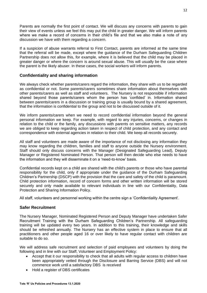Parents are normally the first point of contact. We will discuss any concerns with parents to gain their view of events unless we feel this may put the child in greater danger. We will inform parents where we make a record of concerns in their child's file and that we also make a note of any discussion we have with them regarding a concern.

If a suspicion of abuse warrants referral to First Contact, parents are informed at the same time that the referral will be made, except where the guidance of the Durham Safeguarding Children Partnership does not allow this, for example, where it is believed that the child may be placed in greater danger or where the concern is around sexual abuse. This will usually be the case where the parent is the likely abuser. In these cases, the social workers will inform parents.

#### **Confidentiality and sharing information**

We always check whether parents/carers regard the information, they share with us to be regarded as confidential or not. Some parents/carers sometimes share information about themselves with other parents/carers as well as staff and volunteers. The Nursery is not responsible if information shared beyond those parents/carers whom the person has 'confided' in. Information shared between parents/carers in a discussion or training group is usually bound by a shared agreement, that the information is confidential to the group and not to be discussed outside of it.

We inform parents/carers when we need to record confidential information beyond the general personal information we keep. For example, with regard to any injuries, concerns, or changes in relation to the child or the family, any discussions with parents on sensitive matters, any records we are obliged to keep regarding action taken in respect of child protection, and any contact and correspondence with external agencies in relation to their child. We keep all records securely.

All staff and volunteers are made aware of the importance of not disclosing any information they may know regarding the children, families and staff to anyone outside the Nursery environment. Staff should only discuss concerns with the Manager (Designated Safeguarding Lead), Deputy Manager or Registered Nominated Person. That person will then decide who else needs to have the information and they will disseminate it on a 'need-to-know' basis.

Confidential records kept on a child are shared with the child's parents or those who have parental responsibility for the child, only if appropriate under the guidance of the Durham Safeguarding Children's Partnership (DSCP) with the provision that the care and safety of the child is paramount. Child protection information, record of concern forms and other written information will be stored securely and only made available to relevant individuals in line with our Confidentiality, Data Protection and Sharing Information Policy.

All staff, volunteers and personnel working within the centre sign a 'Confidentiality Agreement'.

#### **Safer Recruitment**

The Nursery Manager, Nominated Registered Person and Deputy Manager have undertaken Safer Recruitment Training with the Durham Safeguarding Children's Partnership. All safeguarding training will be updated every two years. In addition to this training, their knowledge and skills should be refreshed annually. The Nursery has an effective system in place to ensure that all practitioners and other people aged 16 or over likely to have regular contact with children are suitable to do so.

We will address safe recruitment and selection of paid employees and volunteers by doing the following and in line with our Staff, Volunteer and Employment Policy:

- Accept that it our responsibility to check that all adults with regular access to children have been appropriately vetted through the Disclosure and Barring Service (DBS) and will not commence work until a satisfactory DBS is received
- Hold a register of DBS certificates